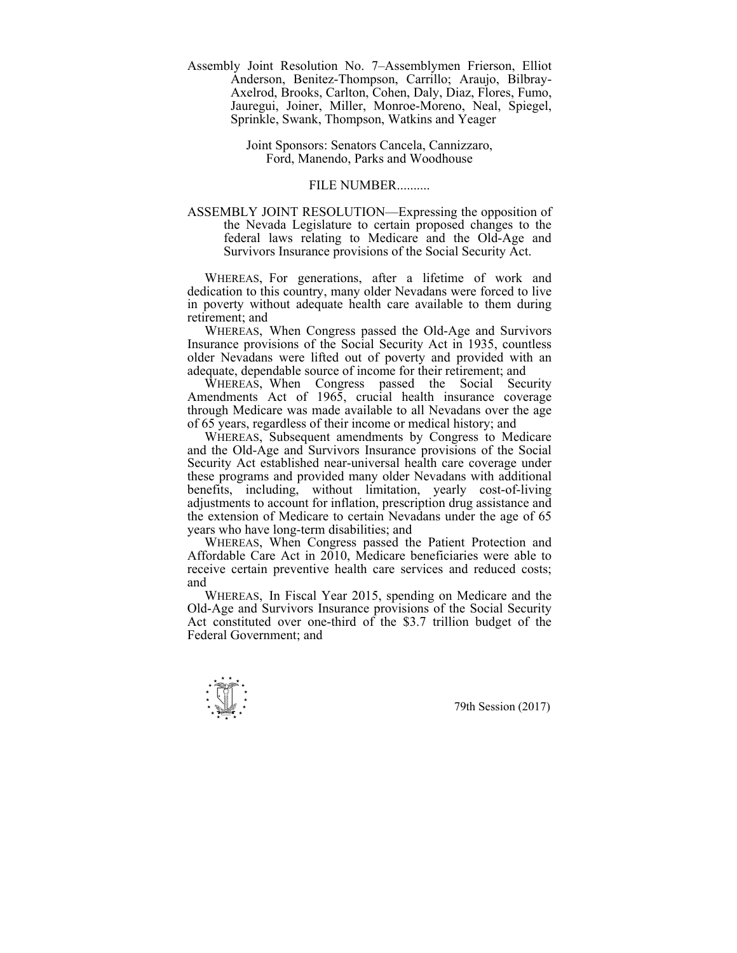Assembly Joint Resolution No. 7–Assemblymen Frierson, Elliot Anderson, Benitez-Thompson, Carrillo; Araujo, Bilbray-Axelrod, Brooks, Carlton, Cohen, Daly, Diaz, Flores, Fumo, Jauregui, Joiner, Miller, Monroe-Moreno, Neal, Spiegel, Sprinkle, Swank, Thompson, Watkins and Yeager

> Joint Sponsors: Senators Cancela, Cannizzaro, Ford, Manendo, Parks and Woodhouse

## FILE NUMBER..........

ASSEMBLY JOINT RESOLUTION—Expressing the opposition of the Nevada Legislature to certain proposed changes to the federal laws relating to Medicare and the Old-Age and Survivors Insurance provisions of the Social Security Act.

 WHEREAS, For generations, after a lifetime of work and dedication to this country, many older Nevadans were forced to live in poverty without adequate health care available to them during retirement; and

 WHEREAS, When Congress passed the Old-Age and Survivors Insurance provisions of the Social Security Act in 1935, countless older Nevadans were lifted out of poverty and provided with an adequate, dependable source of income for their retirement; and

 WHEREAS, When Congress passed the Social Security Amendments Act of 1965, crucial health insurance coverage through Medicare was made available to all Nevadans over the age of 65 years, regardless of their income or medical history; and

 WHEREAS, Subsequent amendments by Congress to Medicare and the Old-Age and Survivors Insurance provisions of the Social Security Act established near-universal health care coverage under these programs and provided many older Nevadans with additional benefits, including, without limitation, yearly cost-of-living adjustments to account for inflation, prescription drug assistance and the extension of Medicare to certain Nevadans under the age of 65 years who have long-term disabilities; and

 WHEREAS, When Congress passed the Patient Protection and Affordable Care Act in 2010, Medicare beneficiaries were able to receive certain preventive health care services and reduced costs; and

 WHEREAS, In Fiscal Year 2015, spending on Medicare and the Old-Age and Survivors Insurance provisions of the Social Security Act constituted over one-third of the \$3.7 trillion budget of the Federal Government; and

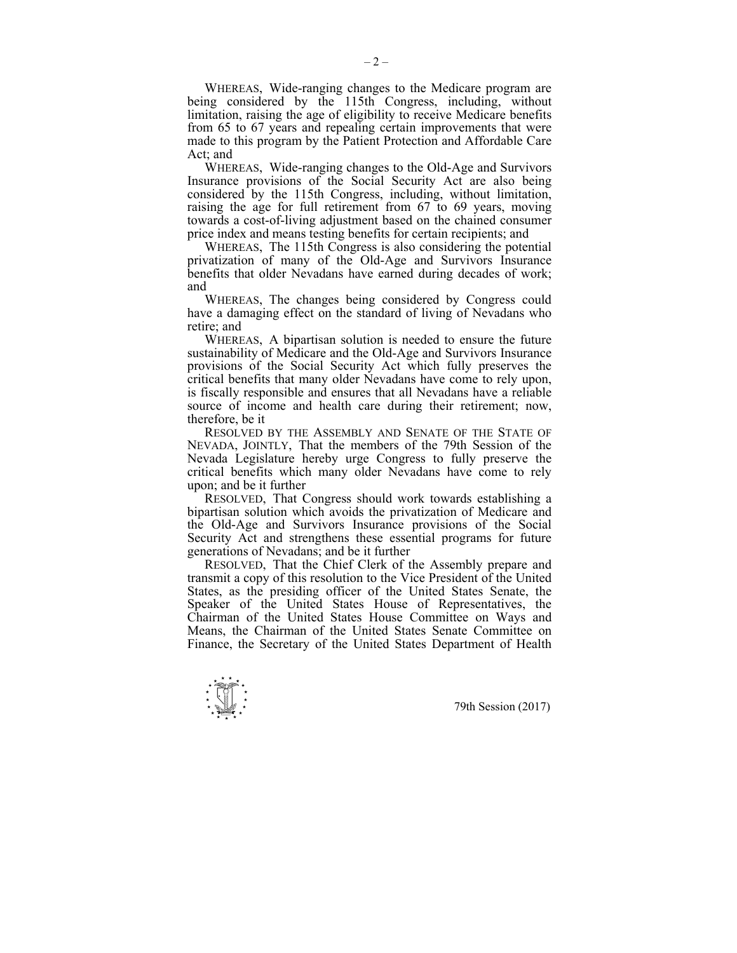WHEREAS, Wide-ranging changes to the Medicare program are being considered by the 115th Congress, including, without limitation, raising the age of eligibility to receive Medicare benefits from 65 to 67 years and repealing certain improvements that were made to this program by the Patient Protection and Affordable Care Act; and

 WHEREAS, Wide-ranging changes to the Old-Age and Survivors Insurance provisions of the Social Security Act are also being considered by the 115th Congress, including, without limitation, raising the age for full retirement from 67 to 69 years, moving towards a cost-of-living adjustment based on the chained consumer price index and means testing benefits for certain recipients; and

 WHEREAS, The 115th Congress is also considering the potential privatization of many of the Old-Age and Survivors Insurance benefits that older Nevadans have earned during decades of work; and

 WHEREAS, The changes being considered by Congress could have a damaging effect on the standard of living of Nevadans who retire; and

 WHEREAS, A bipartisan solution is needed to ensure the future sustainability of Medicare and the Old-Age and Survivors Insurance provisions of the Social Security Act which fully preserves the critical benefits that many older Nevadans have come to rely upon, is fiscally responsible and ensures that all Nevadans have a reliable source of income and health care during their retirement; now, therefore, be it

 RESOLVED BY THE ASSEMBLY AND SENATE OF THE STATE OF NEVADA, JOINTLY, That the members of the 79th Session of the Nevada Legislature hereby urge Congress to fully preserve the critical benefits which many older Nevadans have come to rely upon; and be it further

 RESOLVED, That Congress should work towards establishing a bipartisan solution which avoids the privatization of Medicare and the Old-Age and Survivors Insurance provisions of the Social Security Act and strengthens these essential programs for future generations of Nevadans; and be it further

 RESOLVED, That the Chief Clerk of the Assembly prepare and transmit a copy of this resolution to the Vice President of the United States, as the presiding officer of the United States Senate, the Speaker of the United States House of Representatives, the Chairman of the United States House Committee on Ways and Means, the Chairman of the United States Senate Committee on Finance, the Secretary of the United States Department of Health